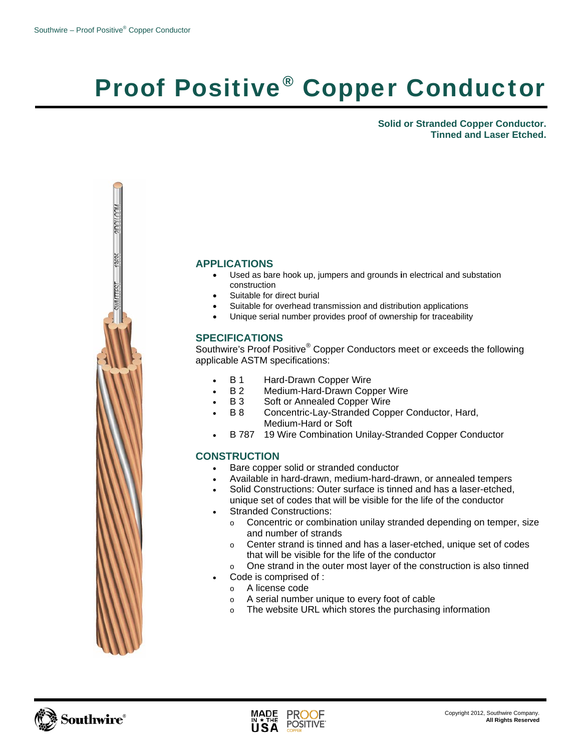## Proof Positive® Copper Conductor

**Solid or Stranded Copper Conductor. Tinned and Laser Etched.** 



## **APPLICATIONS**

- Used as bare hook up, jumpers and grounds **i**n electrical and substation construction
- Suitable for direct burial
- Suitable for overhead transmission and distribution applications
- Unique serial number provides proof of ownership for traceability

## **SPECIFICATIONS**

Southwire's Proof Positive® Copper Conductors meet or exceeds the following applicable ASTM specifications:

- **B 1** Hard-Drawn Copper Wire
- B 2 Medium-Hard-Drawn Copper Wire
- **B 3** Soft or Annealed Copper Wire
- B 8 Concentric-Lay-Stranded Copper Conductor, Hard, Medium-Hard or Soft
- B 787 19 Wire Combination Unilay-Stranded Copper Conductor

## **CONSTRUCTION**

- Bare copper solid or stranded conductor
- Available in hard-drawn, medium-hard-drawn, or annealed tempers
- Solid Constructions: Outer surface is tinned and has a laser-etched, unique set of codes that will be visible for the life of the conductor
- Stranded Constructions:
	- o Concentric or combination unilay stranded depending on temper, size and number of strands
	- o Center strand is tinned and has a laser-etched, unique set of codes that will be visible for the life of the conductor
	- o One strand in the outer most layer of the construction is also tinned
		- Code is comprised of :
	- o A license code
	- o A serial number unique to every foot of cable
	- o The website URL which stores the purchasing information